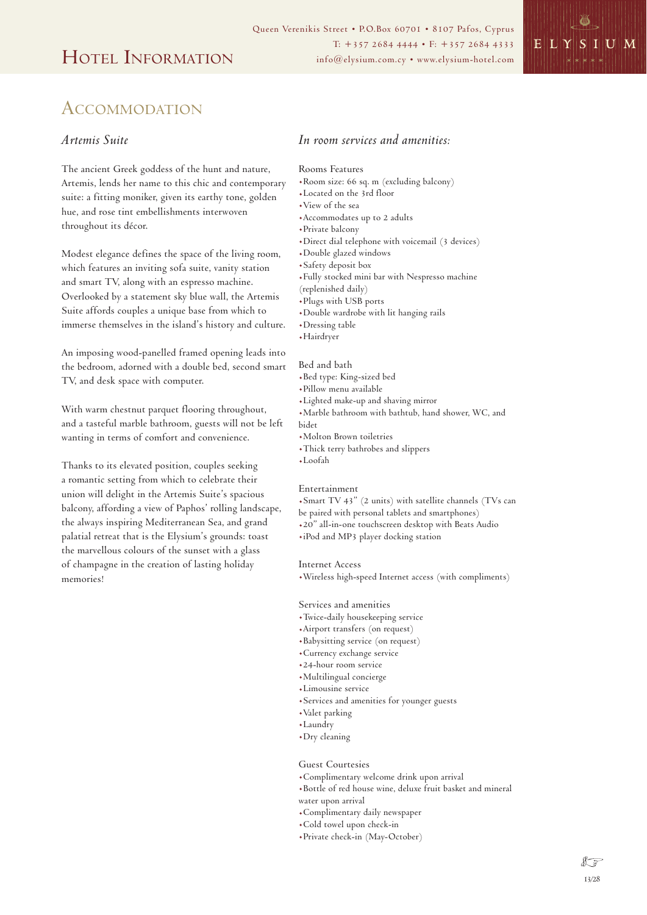

## ACCOMMODATION

### *Artemis Suite*

The ancient Greek goddess of the hunt and nature, Artemis, lends her name to this chic and contemporary suite: a fitting moniker, given its earthy tone, golden hue, and rose tint embellishments interwoven throughout its décor.

Modest elegance defines the space of the living room, which features an inviting sofa suite, vanity station and smart TV, along with an espresso machine. Overlooked by a statement sky blue wall, the Artemis Suite affords couples a unique base from which to immerse themselves in the island's history and culture.

An imposing wood-panelled framed opening leads into the bedroom, adorned with a double bed, second smart TV, and desk space with computer.

With warm chestnut parquet flooring throughout, and a tasteful marble bathroom, guests will not be left wanting in terms of comfort and convenience.

Thanks to its elevated position, couples seeking a romantic setting from which to celebrate their union will delight in the Artemis Suite's spacious balcony, affording a view of Paphos' rolling landscape, the always inspiring Mediterranean Sea, and grand palatial retreat that is the Elysium's grounds: toast the marvellous colours of the sunset with a glass of champagne in the creation of lasting holiday memories!

### *In room services and amenities:*

#### Rooms Features

- .Room size: 66 sq. m (excluding balcony)
- .Located on the 3rd floor
- .View of the sea
- .Accommodates up to 2 adults
- .Private balcony
- .Direct dial telephone with voicemail (3 devices)
- .Double glazed windows
- .Safety deposit box
- .Fully stocked mini bar with Nespresso machine
- (replenished daily)
- .Plugs with USB ports
- .Double wardrobe with lit hanging rails
- .Dressing table
- .Hairdryer

#### Bed and bath

- .Bed type: King-sized bed
- .Pillow menu available
- .Lighted make-up and shaving mirror
- .Marble bathroom with bathtub, hand shower, WC, and
- bidet
- .Molton Brown toiletries
- .Thick terry bathrobes and slippers
- .Loofah

#### Entertainment

- .Smart TV 43" (2 units) with satellite channels (TVs can
- be paired with personal tablets and smartphones)
- .20" all-in-one touchscreen desktop with Beats Audio
- .iPod and MP3 player docking station

#### Internet Access

.Wireless high-speed Internet access (with compliments)

#### Services and amenities

- .Twice-daily housekeeping service
- .Airport transfers (on request)
- .Babysitting service (on request)
- .Currency exchange service
- .24-hour room service
- .Multilingual concierge
- .Limousine service
- .Services and amenities for younger guests
- .Valet parking
- .Laundry
- .Dry cleaning

#### Guest Courtesies

- .Complimentary welcome drink upon arrival
- .Bottle of red house wine, deluxe fruit basket and mineral water upon arrival
- .Complimentary daily newspaper
- .Cold towel upon check-in
- .Private check-in (May-October)